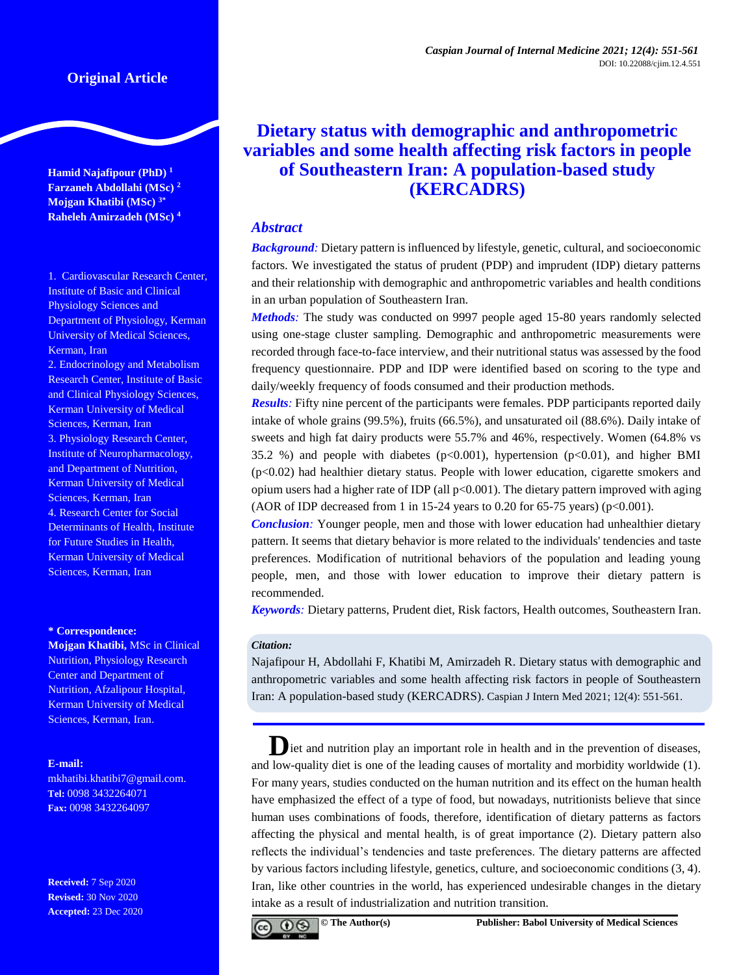# **Original Article**

**Hamid Najafipour (PhD) <sup>1</sup> Farzaneh Abdollahi (MSc) <sup>2</sup> Mojgan Khatibi (MSc) 3\* Raheleh Amirzadeh (MSc) <sup>4</sup>**

1. Cardiovascular Research Center, Institute of Basic and Clinical Physiology Sciences and Department of Physiology, Kerman University of Medical Sciences, Kerman, Iran

2. Endocrinology and Metabolism Research Center, Institute of Basic and Clinical Physiology Sciences, Kerman University of Medical Sciences, Kerman, Iran 3. Physiology Research Center, Institute of Neuropharmacology, and Department of Nutrition, Kerman University of Medical Sciences, Kerman, Iran 4. Research Center for Social Determinants of Health, Institute for Future Studies in Health, Kerman University of Medical Sciences, Kerman, Iran

#### **\* Correspondence:**

**Mojgan Khatibi,** MSc in Clinical Nutrition, Physiology Research Center and Department of Nutrition, Afzalipour Hospital, Kerman University of Medical Sciences, Kerman, Iran.

#### **E-mail:**

[mkhatibi.khatibi7@gmail.com.](mailto:mkhatibi.khatibi7@gmail.com) **Tel:** 0098 3432264071 **Fax:** 0098 3432264097

**Received:** 7 Sep 2020 **Revised:** 30 Nov 2020 **Accepted:** 23 Dec 2020

# **Dietary status with demographic and anthropometric variables and some health affecting risk factors in people of Southeastern Iran: A population-based study (KERCADRS)**

## *Abstract*

*Background:* Dietary pattern is influenced by lifestyle, genetic, cultural, and socioeconomic factors. We investigated the status of prudent (PDP) and imprudent (IDP) dietary patterns and their relationship with demographic and anthropometric variables and health conditions in an urban population of Southeastern Iran.

*Methods:* The study was conducted on 9997 people aged 15-80 years randomly selected using one-stage cluster sampling. Demographic and anthropometric measurements were recorded through face-to-face interview, and their nutritional status was assessed by the food frequency questionnaire. PDP and IDP were identified based on scoring to the type and daily/weekly frequency of foods consumed and their production methods.

*Results:* Fifty nine percent of the participants were females. PDP participants reported daily intake of whole grains (99.5%), fruits (66.5%), and unsaturated oil (88.6%). Daily intake of sweets and high fat dairy products were 55.7% and 46%, respectively. Women (64.8% vs 35.2 %) and people with diabetes ( $p<0.001$ ), hypertension ( $p<0.01$ ), and higher BMI (p<0.02) had healthier dietary status. People with lower education, cigarette smokers and opium users had a higher rate of IDP (all  $p<0.001$ ). The dietary pattern improved with aging (AOR of IDP decreased from 1 in 15-24 years to 0.20 for 65-75 years) ( $p<0.001$ ).

*Conclusion:* Younger people, men and those with lower education had unhealthier dietary pattern. It seems that dietary behavior is more related to the individuals' tendencies and taste preferences. Modification of nutritional behaviors of the population and leading young people, men, and those with lower education to improve their dietary pattern is recommended.

*Keywords:* Dietary patterns, Prudent diet, Risk factors, Health outcomes, Southeastern Iran.

#### *Citation:*

Najafipour H, Abdollahi F, Khatibi M, Amirzadeh R. Dietary status with demographic and anthropometric variables and some health affecting risk factors in people of Southeastern Iran: A population-based study (KERCADRS). Caspian J Intern Med 2021; 12(4): 551-561.

liet and nutrition play an important role in health and in the prevention of diseases, and low-quality diet is one of the leading causes of mortality and morbidity worldwide (1). For many years, studies conducted on the human nutrition and its effect on the human health have emphasized the effect of a type of food, but nowadays, nutritionists believe that since human uses combinations of foods, therefore, identification of dietary patterns as factors affecting the physical and mental health, is of great importance (2). Dietary pattern also reflects the individual's tendencies and taste preferences. The dietary patterns are affected by various factors including lifestyle, genetics, culture, and socioeconomic conditions (3, 4). Iran, like other countries in the world, has experienced undesirable changes in the dietary intake as a result of industrialization and nutrition transition.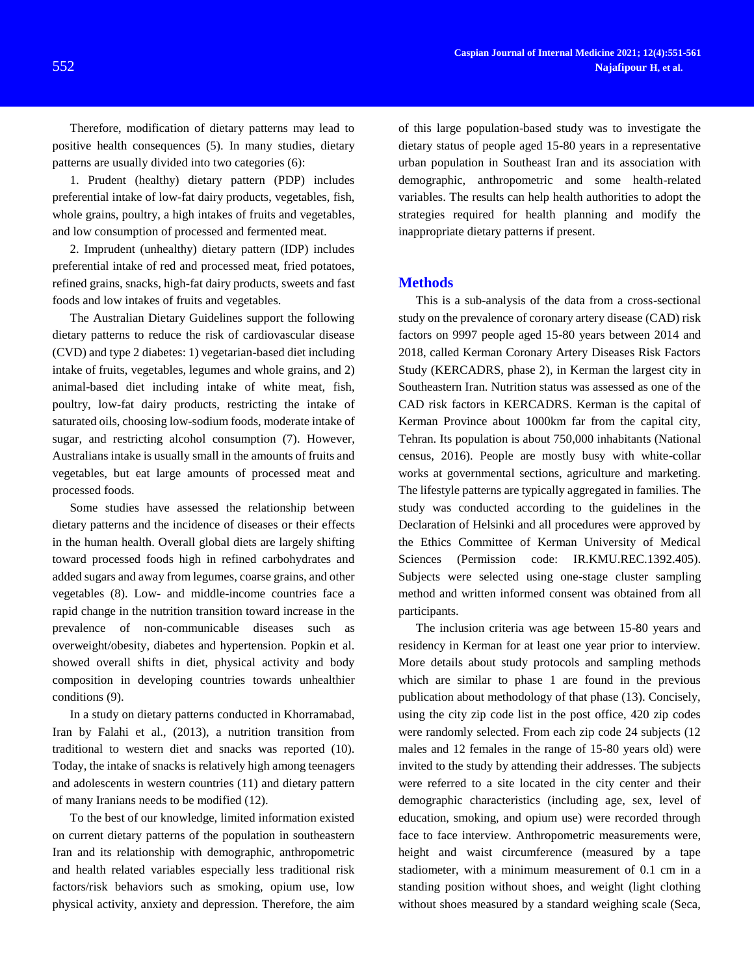Therefore, modification of dietary patterns may lead to positive health consequences (5). In many studies, dietary patterns are usually divided into two categories (6):

1. Prudent (healthy) dietary pattern (PDP) includes preferential intake of low-fat dairy products, vegetables, fish, whole grains, poultry, a high intakes of fruits and vegetables, and low consumption of processed and fermented meat.

2. Imprudent (unhealthy) dietary pattern (IDP) includes preferential intake of red and processed meat, fried potatoes, refined grains, snacks, high-fat dairy products, sweets and fast foods and low intakes of fruits and vegetables.

The Australian Dietary Guidelines support the following dietary patterns to reduce the risk of cardiovascular disease (CVD) and type 2 diabetes: 1) vegetarian-based diet including intake of fruits, vegetables, legumes and whole grains, and 2) animal-based diet including intake of white meat, fish, poultry, low-fat dairy products, restricting the intake of saturated oils, choosing low-sodium foods, moderate intake of sugar, and restricting alcohol consumption (7). However, Australians intake is usually small in the amounts of fruits and vegetables, but eat large amounts of processed meat and processed foods.

Some studies have assessed the relationship between dietary patterns and the incidence of diseases or their effects in the human health. Overall global diets are largely shifting toward processed foods high in refined carbohydrates and added sugars and away from legumes, coarse grains, and other vegetables (8). Low- and middle-income countries face a rapid change in the nutrition transition toward increase in the prevalence of non-communicable diseases such as overweight/obesity, diabetes and hypertension. Popkin et al. showed overall shifts in diet, physical activity and body composition in developing countries towards unhealthier conditions (9).

In a study on dietary patterns conducted in Khorramabad, Iran by Falahi et al., (2013), a nutrition transition from traditional to western diet and snacks was reported (10). Today, the intake of snacks is relatively high among teenagers and adolescents in western countries (11) and dietary pattern of many Iranians needs to be modified (12).

To the best of our knowledge, limited information existed on current dietary patterns of the population in southeastern Iran and its relationship with demographic, anthropometric and health related variables especially less traditional risk factors/risk behaviors such as smoking, opium use, low physical activity, anxiety and depression. Therefore, the aim

of this large population-based study was to investigate the dietary status of people aged 15-80 years in a representative urban population in Southeast Iran and its association with demographic, anthropometric and some health-related variables. The results can help health authorities to adopt the strategies required for health planning and modify the inappropriate dietary patterns if present.

#### **Methods**

This is a sub-analysis of the data from a cross-sectional study on the prevalence of coronary artery disease (CAD) risk factors on 9997 people aged 15-80 years between 2014 and 2018, called Kerman Coronary Artery Diseases Risk Factors Study (KERCADRS, phase 2), in Kerman the largest city in Southeastern Iran. Nutrition status was assessed as one of the CAD risk factors in KERCADRS. Kerman is the capital of Kerman Province about 1000km far from the capital city, Tehran. Its population is about 750,000 inhabitants (National census, 2016). People are mostly busy with white-collar works at governmental sections, agriculture and marketing. The lifestyle patterns are typically aggregated in families. The study was conducted according to the guidelines in the Declaration of Helsinki and all procedures were approved by the Ethics Committee of Kerman University of Medical Sciences (Permission code: IR.KMU.REC.1392.405). Subjects were selected using one-stage cluster sampling method and written informed consent was obtained from all participants.

The inclusion criteria was age between 15-80 years and residency in Kerman for at least one year prior to interview. More details about study protocols and sampling methods which are similar to phase 1 are found in the previous publication about methodology of that phase (13). Concisely, using the city zip code list in the post office, 420 zip codes were randomly selected. From each zip code 24 subjects (12 males and 12 females in the range of 15-80 years old) were invited to the study by attending their addresses. The subjects were referred to a site located in the city center and their demographic characteristics (including age, sex, level of education, smoking, and opium use) were recorded through face to face interview. Anthropometric measurements were, height and waist circumference (measured by a tape stadiometer, with a minimum measurement of 0.1 cm in a standing position without shoes, and weight (light clothing without shoes measured by a standard weighing scale (Seca,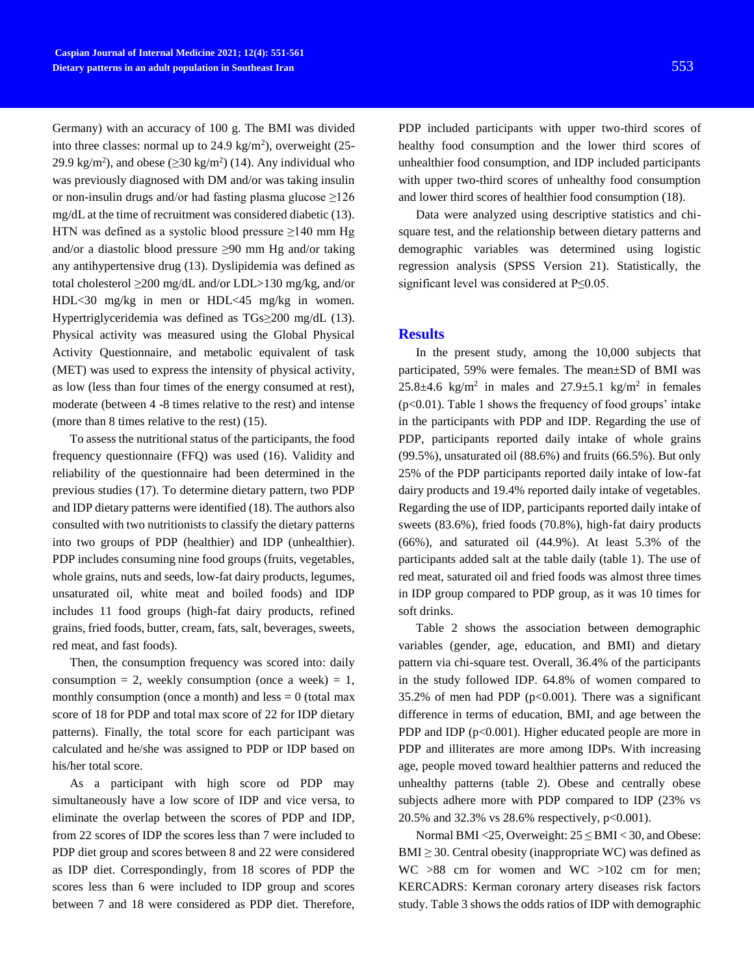Germany) with an accuracy of 100 g. The BMI was divided into three classes: normal up to  $24.9 \text{ kg/m}^2$ ), overweight (25-29.9 kg/m<sup>2</sup>), and obese  $(\geq 30 \text{ kg/m}^2)$  (14). Any individual who was previously diagnosed with DM and/or was taking insulin or non-insulin drugs and/or had fasting plasma glucose ≥126 mg/dL at the time of recruitment was considered diabetic (13). HTN was defined as a systolic blood pressure  $\geq$ 140 mm Hg and/or a diastolic blood pressure ≥90 mm Hg and/or taking any antihypertensive drug (13). Dyslipidemia was defined as total cholesterol ≥200 mg/dL and/or LDL>130 mg/kg, and/or HDL<30 mg/kg in men or HDL<45 mg/kg in women. Hypertriglyceridemia was defined as TGs≥200 mg/dL (13). Physical activity was measured using the Global Physical Activity Questionnaire, and metabolic equivalent of task (MET) was used to express the intensity of physical activity, as low (less than four times of the energy consumed at rest), moderate (between 4 -8 times relative to the rest) and intense (more than 8 times relative to the rest) (15).

To assess the nutritional status of the participants, the food frequency questionnaire (FFQ) was used (16). Validity and reliability of the questionnaire had been determined in the previous studies (17). To determine dietary pattern, two PDP and IDP dietary patterns were identified (18). The authors also consulted with two nutritionists to classify the dietary patterns into two groups of PDP (healthier) and IDP (unhealthier). PDP includes consuming nine food groups (fruits, vegetables, whole grains, nuts and seeds, low-fat dairy products, legumes, unsaturated oil, white meat and boiled foods) and IDP includes 11 food groups (high-fat dairy products, refined grains, fried foods, butter, cream, fats, salt, beverages, sweets, red meat, and fast foods).

Then, the consumption frequency was scored into: daily consumption = 2, weekly consumption (once a week) = 1, monthly consumption (once a month) and less  $= 0$  (total max score of 18 for PDP and total max score of 22 for IDP dietary patterns). Finally, the total score for each participant was calculated and he/she was assigned to PDP or IDP based on his/her total score.

As a participant with high score od PDP may simultaneously have a low score of IDP and vice versa, to eliminate the overlap between the scores of PDP and IDP, from 22 scores of IDP the scores less than 7 were included to PDP diet group and scores between 8 and 22 were considered as IDP diet. Correspondingly, from 18 scores of PDP the scores less than 6 were included to IDP group and scores between 7 and 18 were considered as PDP diet. Therefore,

PDP included participants with upper two-third scores of healthy food consumption and the lower third scores of unhealthier food consumption, and IDP included participants with upper two-third scores of unhealthy food consumption and lower third scores of healthier food consumption (18).

Data were analyzed using descriptive statistics and chisquare test, and the relationship between dietary patterns and demographic variables was determined using logistic regression analysis (SPSS Version 21). Statistically, the significant level was considered at P≤0.05.

### **Results**

In the present study, among the 10,000 subjects that participated, 59% were females. The mean±SD of BMI was  $25.8\pm4.6$  kg/m<sup>2</sup> in males and  $27.9\pm5.1$  kg/m<sup>2</sup> in females (p<0.01). Table 1 shows the frequency of food groups' intake in the participants with PDP and IDP. Regarding the use of PDP, participants reported daily intake of whole grains (99.5%), unsaturated oil (88.6%) and fruits (66.5%). But only 25% of the PDP participants reported daily intake of low-fat dairy products and 19.4% reported daily intake of vegetables. Regarding the use of IDP, participants reported daily intake of sweets (83.6%), fried foods (70.8%), high-fat dairy products (66%), and saturated oil (44.9%). At least 5.3% of the participants added salt at the table daily (table 1). The use of red meat, saturated oil and fried foods was almost three times in IDP group compared to PDP group, as it was 10 times for soft drinks.

Table 2 shows the association between demographic variables (gender, age, education, and BMI) and dietary pattern via chi-square test. Overall, 36.4% of the participants in the study followed IDP. 64.8% of women compared to 35.2% of men had PDP ( $p<0.001$ ). There was a significant difference in terms of education, BMI, and age between the PDP and IDP  $(p<0.001)$ . Higher educated people are more in PDP and illiterates are more among IDPs. With increasing age, people moved toward healthier patterns and reduced the unhealthy patterns (table 2). Obese and centrally obese subjects adhere more with PDP compared to IDP (23% vs 20.5% and 32.3% vs 28.6% respectively, p<0.001).

Normal BMI <25, Overweight:  $25 \leq BMI < 30$ , and Obese:  $BMI \geq 30$ . Central obesity (inappropriate WC) was defined as WC >88 cm for women and WC >102 cm for men; KERCADRS: Kerman coronary artery diseases risk factors study. Table 3 shows the odds ratios of IDP with demographic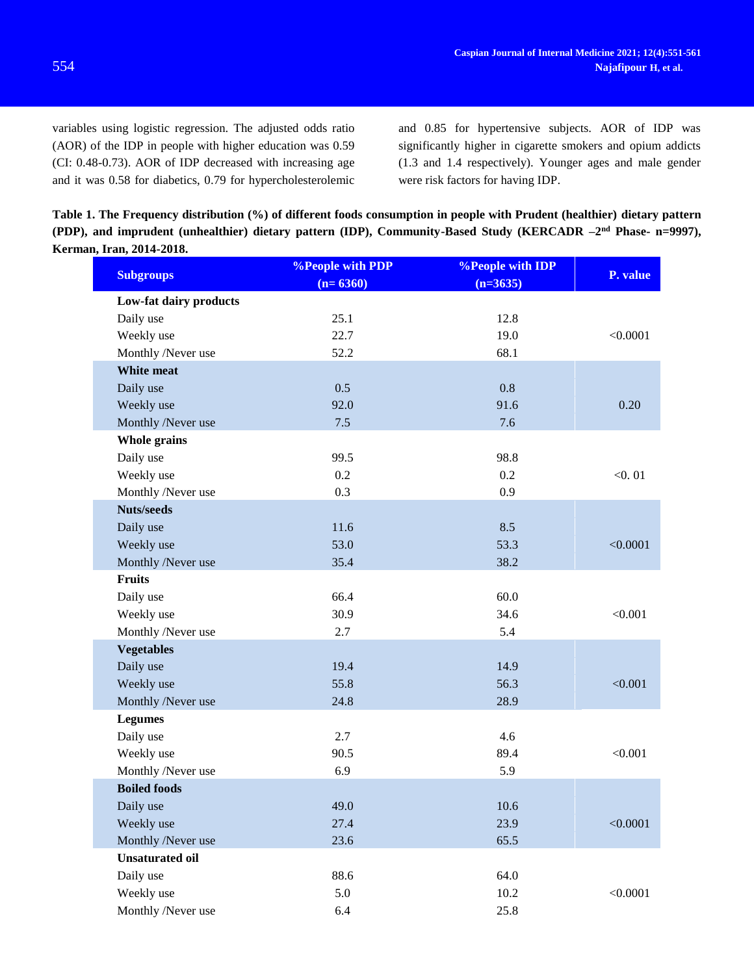variables using logistic regression. The adjusted odds ratio (AOR) of the IDP in people with higher education was 0.59 (CI: 0.48-0.73). AOR of IDP decreased with increasing age and it was 0.58 for diabetics, 0.79 for hypercholesterolemic and 0.85 for hypertensive subjects. AOR of IDP was significantly higher in cigarette smokers and opium addicts (1.3 and 1.4 respectively). Younger ages and male gender were risk factors for having IDP.

**Table 1. The Frequency distribution (%) of different foods consumption in people with Prudent (healthier) dietary pattern**  (PDP), and imprudent (unhealthier) dietary pattern (IDP), Community-Based Study (KERCADR  $-2<sup>nd</sup>$  Phase- n=9997), **Kerman, Iran, 2014-2018.**

| <b>Subgroups</b>       | <b>%People with PDP</b><br>$(n=6360)$ | <b>%People with IDP</b><br>$(n=3635)$ | P. value |
|------------------------|---------------------------------------|---------------------------------------|----------|
| Low-fat dairy products |                                       |                                       |          |
| Daily use              | 25.1                                  | 12.8                                  |          |
| Weekly use             | 22.7                                  | 19.0                                  | < 0.0001 |
| Monthly /Never use     | 52.2                                  | 68.1                                  |          |
| <b>White meat</b>      |                                       |                                       |          |
| Daily use              | 0.5                                   | 0.8                                   |          |
| Weekly use             | 92.0                                  | 91.6                                  | 0.20     |
| Monthly /Never use     | 7.5                                   | 7.6                                   |          |
| <b>Whole grains</b>    |                                       |                                       |          |
| Daily use              | 99.5                                  | 98.8                                  |          |
| Weekly use             | 0.2                                   | 0.2                                   | < 0.01   |
| Monthly /Never use     | 0.3                                   | 0.9                                   |          |
| <b>Nuts/seeds</b>      |                                       |                                       |          |
| Daily use              | 11.6                                  | 8.5                                   |          |
| Weekly use             | 53.0                                  | 53.3                                  | < 0.0001 |
| Monthly /Never use     | 35.4                                  | 38.2                                  |          |
| <b>Fruits</b>          |                                       |                                       |          |
| Daily use              | 66.4                                  | 60.0                                  |          |
| Weekly use             | 30.9                                  | 34.6                                  | < 0.001  |
| Monthly /Never use     | 2.7                                   | 5.4                                   |          |
| <b>Vegetables</b>      |                                       |                                       |          |
| Daily use              | 19.4                                  | 14.9                                  |          |
| Weekly use             | 55.8                                  | 56.3                                  | < 0.001  |
| Monthly /Never use     | 24.8                                  | 28.9                                  |          |
| <b>Legumes</b>         |                                       |                                       |          |
| Daily use              | 2.7                                   | 4.6                                   |          |
| Weekly use             | 90.5                                  | 89.4                                  | < 0.001  |
| Monthly /Never use     | 6.9                                   | 5.9                                   |          |
| <b>Boiled foods</b>    |                                       |                                       |          |
| Daily use              | 49.0                                  | 10.6                                  |          |
| Weekly use             | 27.4                                  | 23.9                                  | < 0.0001 |
| Monthly /Never use     | 23.6                                  | 65.5                                  |          |
| <b>Unsaturated oil</b> |                                       |                                       |          |
| Daily use              | 88.6                                  | 64.0                                  |          |
| Weekly use             | 5.0                                   | 10.2                                  | < 0.0001 |
| Monthly /Never use     | 6.4                                   | 25.8                                  |          |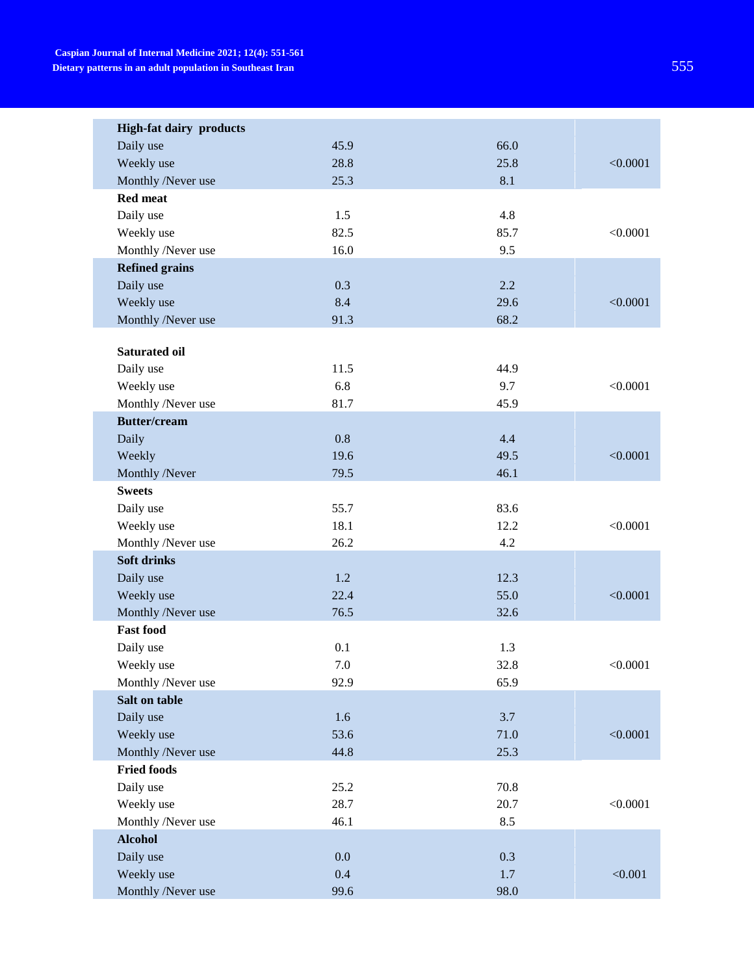| <b>High-fat dairy products</b> |         |      |          |
|--------------------------------|---------|------|----------|
| Daily use                      | 45.9    | 66.0 |          |
| Weekly use                     | 28.8    | 25.8 | < 0.0001 |
| Monthly /Never use             | 25.3    | 8.1  |          |
| <b>Red meat</b>                |         |      |          |
| Daily use                      | 1.5     | 4.8  |          |
| Weekly use                     | 82.5    | 85.7 | < 0.0001 |
| Monthly /Never use             | 16.0    | 9.5  |          |
| <b>Refined grains</b>          |         |      |          |
| Daily use                      | 0.3     | 2.2  |          |
| Weekly use                     | 8.4     | 29.6 | < 0.0001 |
| Monthly /Never use             | 91.3    | 68.2 |          |
|                                |         |      |          |
| <b>Saturated oil</b>           |         |      |          |
| Daily use                      | 11.5    | 44.9 |          |
| Weekly use                     | 6.8     | 9.7  | < 0.0001 |
| Monthly /Never use             | 81.7    | 45.9 |          |
| <b>Butter/cream</b>            |         |      |          |
| Daily                          | 0.8     | 4.4  |          |
| Weekly                         | 19.6    | 49.5 | < 0.0001 |
| Monthly /Never                 | 79.5    | 46.1 |          |
| <b>Sweets</b>                  |         |      |          |
| Daily use                      | 55.7    | 83.6 |          |
| Weekly use                     | 18.1    | 12.2 | < 0.0001 |
| Monthly /Never use             | 26.2    | 4.2  |          |
| <b>Soft drinks</b>             |         |      |          |
| Daily use                      | 1.2     | 12.3 |          |
| Weekly use                     | 22.4    | 55.0 | < 0.0001 |
| Monthly /Never use             | 76.5    | 32.6 |          |
| <b>Fast food</b>               |         |      |          |
| Daily use                      | 0.1     | 1.3  |          |
| Weekly use                     | $7.0\,$ | 32.8 | < 0.0001 |
| Monthly /Never use             | 92.9    | 65.9 |          |
| Salt on table                  |         |      |          |
| Daily use                      | 1.6     | 3.7  |          |
| Weekly use                     | 53.6    | 71.0 | < 0.0001 |
| Monthly /Never use             | 44.8    | 25.3 |          |
| <b>Fried foods</b>             |         |      |          |
| Daily use                      | 25.2    | 70.8 |          |
| Weekly use                     | 28.7    | 20.7 | < 0.0001 |
| Monthly /Never use             | 46.1    | 8.5  |          |
| <b>Alcohol</b>                 |         |      |          |
| Daily use                      | 0.0     | 0.3  |          |
| Weekly use                     | 0.4     | 1.7  | < 0.001  |
| Monthly /Never use             | 99.6    | 98.0 |          |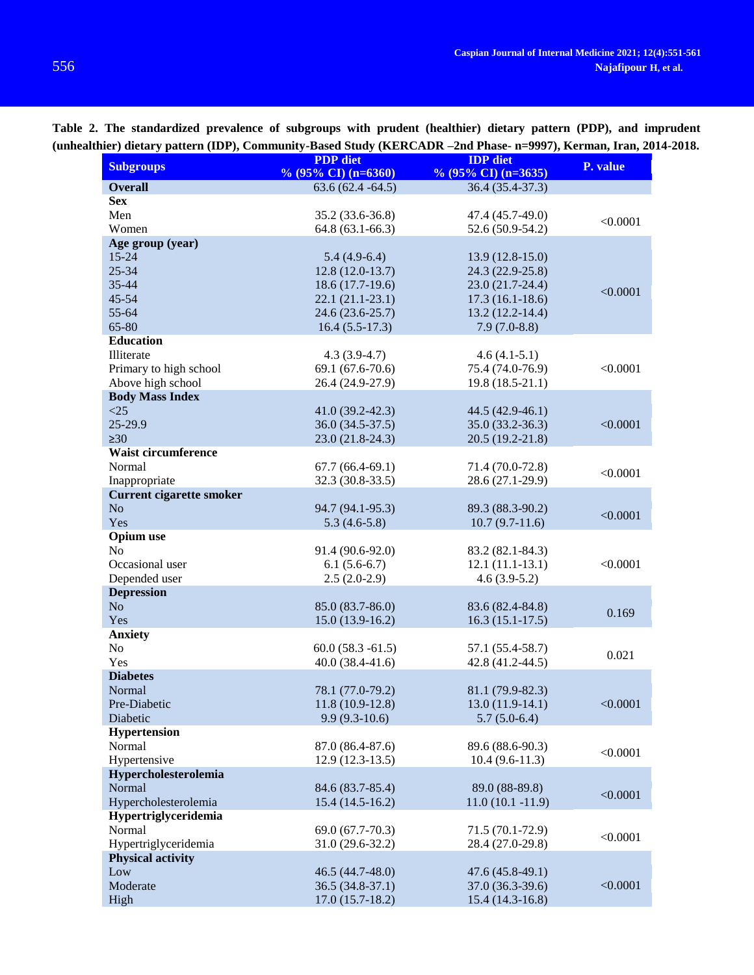| <b>Subgroups</b>                | <b>PDP</b> diet        | <b>IDP</b> diet                | P. value |  |
|---------------------------------|------------------------|--------------------------------|----------|--|
|                                 | $\%$ (95% CI) (n=6360) | % $(95\% \text{ CI})$ (n=3635) |          |  |
| <b>Overall</b>                  | $63.6(62.4 - 64.5)$    | 36.4 (35.4-37.3)               |          |  |
| <b>Sex</b>                      |                        |                                |          |  |
| Men                             | 35.2 (33.6-36.8)       | 47.4 (45.7-49.0)               | < 0.0001 |  |
| Women                           | 64.8 (63.1-66.3)       | $52.6(50.9-54.2)$              |          |  |
| Age group (year)                |                        |                                |          |  |
| $15 - 24$                       | $5.4(4.9-6.4)$         | $13.9(12.8-15.0)$              |          |  |
| $25 - 34$                       | $12.8(12.0-13.7)$      | 24.3 (22.9-25.8)               |          |  |
| 35-44                           | 18.6 (17.7-19.6)       | 23.0 (21.7-24.4)               | < 0.0001 |  |
| $45 - 54$                       | $22.1(21.1-23.1)$      | $17.3(16.1-18.6)$              |          |  |
| 55-64                           | 24.6 (23.6-25.7)       | $13.2(12.2 - 14.4)$            |          |  |
| 65-80                           | $16.4(5.5-17.3)$       | $7.9(7.0-8.8)$                 |          |  |
| <b>Education</b>                |                        |                                |          |  |
| Illiterate                      | $4.3(3.9-4.7)$         | $4.6(4.1-5.1)$                 |          |  |
| Primary to high school          | 69.1 (67.6-70.6)       | 75.4 (74.0-76.9)               | < 0.0001 |  |
| Above high school               | 26.4 (24.9-27.9)       | $19.8(18.5-21.1)$              |          |  |
| <b>Body Mass Index</b>          |                        |                                |          |  |
| <25                             | $41.0(39.2 - 42.3)$    | 44.5 (42.9-46.1)               |          |  |
| 25-29.9                         | $36.0(34.5-37.5)$      | $35.0(33.2 - 36.3)$            | < 0.0001 |  |
| $\geq 30$                       | 23.0 (21.8-24.3)       | 20.5 (19.2-21.8)               |          |  |
| Waist circumference             |                        |                                |          |  |
| Normal                          | $67.7(66.4-69.1)$      | 71.4 (70.0-72.8)               | < 0.0001 |  |
| Inappropriate                   | 32.3 (30.8-33.5)       | 28.6 (27.1-29.9)               |          |  |
| <b>Current cigarette smoker</b> |                        |                                |          |  |
| No                              | 94.7 (94.1-95.3)       | 89.3 (88.3-90.2)               | < 0.0001 |  |
| Yes                             | $5.3(4.6-5.8)$         | $10.7(9.7-11.6)$               |          |  |
| <b>Opium</b> use                |                        |                                |          |  |
| No                              | 91.4 (90.6-92.0)       | 83.2 (82.1-84.3)               |          |  |
| Occasional user                 | $6.1(5.6-6.7)$         | $12.1(11.1-13.1)$              | < 0.0001 |  |
| Depended user                   | $2.5(2.0-2.9)$         | $4.6(3.9-5.2)$                 |          |  |
| <b>Depression</b>               |                        |                                |          |  |
| No.                             | 85.0 (83.7-86.0)       | 83.6 (82.4-84.8)               | 0.169    |  |
| Yes                             | $15.0(13.9-16.2)$      | $16.3(15.1-17.5)$              |          |  |
| <b>Anxiety</b>                  |                        |                                |          |  |
| No                              | $60.0(58.3 - 61.5)$    | 57.1 (55.4-58.7)               | 0.021    |  |
| Yes                             | $40.0(38.4-41.6)$      | 42.8 (41.2-44.5)               |          |  |
| <b>Diabetes</b>                 |                        |                                |          |  |
| Normal                          | 78.1 (77.0-79.2)       | 81.1 (79.9-82.3)               |          |  |
| Pre-Diabetic                    | $11.8(10.9-12.8)$      | $13.0(11.9-14.1)$              | < 0.0001 |  |
| Diabetic                        | $9.9(9.3-10.6)$        | $5.7(5.0-6.4)$                 |          |  |
| <b>Hypertension</b>             |                        |                                |          |  |
| Normal<br>Hypertensive          | 87.0 (86.4-87.6)       | 89.6 (88.6-90.3)               | < 0.0001 |  |
|                                 | $12.9(12.3-13.5)$      | $10.4(9.6-11.3)$               |          |  |
| Hypercholesterolemia            |                        |                                |          |  |
| Normal                          | 84.6 (83.7-85.4)       | 89.0 (88-89.8)                 | < 0.0001 |  |
| Hypercholesterolemia            | $15.4(14.5-16.2)$      | $11.0(10.1 - 11.9)$            |          |  |
| Hypertriglyceridemia            |                        |                                |          |  |
| Normal                          | 69.0 (67.7-70.3)       | 71.5 (70.1-72.9)               | < 0.0001 |  |
| Hypertriglyceridemia            | 31.0 (29.6-32.2)       | 28.4 (27.0-29.8)               |          |  |
| <b>Physical activity</b>        |                        |                                |          |  |
| Low                             | 46.5 (44.7-48.0)       | $47.6(45.8-49.1)$              |          |  |
| Moderate                        | $36.5(34.8-37.1)$      | 37.0 (36.3-39.6)               | < 0.0001 |  |
| High                            | $17.0(15.7-18.2)$      | $15.4(14.3-16.8)$              |          |  |

**Table 2. The standardized prevalence of subgroups with prudent (healthier) dietary pattern (PDP), and imprudent (unhealthier) dietary pattern (IDP), Community-Based Study (KERCADR –2nd Phase- n=9997), Kerman, Iran, 2014-2018.**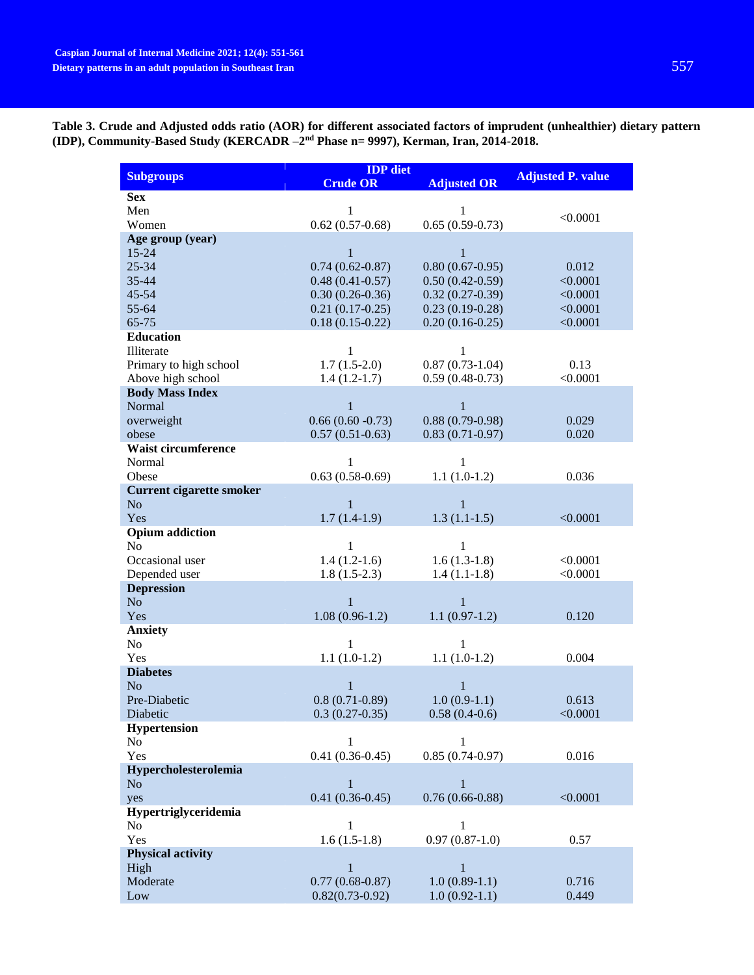|                                   | <b>IDP</b> diet        |                     |                          |
|-----------------------------------|------------------------|---------------------|--------------------------|
| <b>Subgroups</b>                  | <b>Crude OR</b>        | <b>Adjusted OR</b>  | <b>Adjusted P. value</b> |
| <b>Sex</b>                        |                        |                     |                          |
| Men                               | 1                      | 1                   |                          |
| Women                             | $0.62(0.57-0.68)$      | $0.65(0.59-0.73)$   | < 0.0001                 |
| Age group (year)                  |                        |                     |                          |
| 15-24                             | 1                      | $\mathbf{1}$        |                          |
| 25-34                             | $0.74(0.62 - 0.87)$    | $0.80(0.67-0.95)$   | 0.012                    |
| 35-44                             | $0.48(0.41 - 0.57)$    | $0.50(0.42 - 0.59)$ | < 0.0001                 |
| 45-54                             | $0.30(0.26-0.36)$      | $0.32(0.27-0.39)$   | < 0.0001                 |
| 55-64                             | $0.21(0.17-0.25)$      | $0.23(0.19-0.28)$   | < 0.0001                 |
| 65-75                             | $0.18(0.15-0.22)$      | $0.20(0.16-0.25)$   | < 0.0001                 |
| <b>Education</b>                  |                        |                     |                          |
| Illiterate                        | 1                      | 1                   |                          |
| Primary to high school            | $1.7(1.5-2.0)$         | $0.87(0.73-1.04)$   | 0.13                     |
| Above high school                 | $1.4(1.2-1.7)$         | $0.59(0.48-0.73)$   | < 0.0001                 |
| <b>Body Mass Index</b>            |                        |                     |                          |
| Normal                            | $\mathbf{1}$           | $\mathbf{1}$        |                          |
| overweight                        | $0.66(0.60 - 0.73)$    | $0.88(0.79-0.98)$   | 0.029                    |
| obese                             | $0.57(0.51-0.63)$      | $0.83(0.71-0.97)$   | 0.020                    |
| Waist circumference               |                        |                     |                          |
| Normal                            | 1                      | $\mathbf{1}$        |                          |
| Obese                             | $0.63(0.58-0.69)$      | $1.1(1.0-1.2)$      | 0.036                    |
| <b>Current cigarette smoker</b>   |                        |                     |                          |
| No                                |                        |                     |                          |
| Yes                               | 1                      | 1                   |                          |
| <b>Opium</b> addiction            | $1.7(1.4-1.9)$         | $1.3(1.1-1.5)$      | < 0.0001                 |
| No                                | $\mathbf{1}$           | $\mathbf{1}$        |                          |
| Occasional user                   | $1.4(1.2-1.6)$         | $1.6(1.3-1.8)$      | < 0.0001                 |
|                                   |                        |                     | < 0.0001                 |
| Depended user                     | $1.8(1.5-2.3)$         | $1.4(1.1-1.8)$      |                          |
| <b>Depression</b><br>No           | 1                      | 1                   |                          |
|                                   | $1.08(0.96-1.2)$       | $1.1(0.97-1.2)$     | 0.120                    |
| Yes                               |                        |                     |                          |
| <b>Anxiety</b><br>No              | $\mathbf{1}$           | $\mathbf{1}$        |                          |
| Yes                               | $1.1(1.0-1.2)$         | $1.1(1.0-1.2)$      | 0.004                    |
|                                   |                        |                     |                          |
| <b>Diabetes</b><br>N <sub>o</sub> | $\mathbf{1}$           | $\mathbf{1}$        |                          |
| Pre-Diabetic                      | $0.8(0.71-0.89)$       | $1.0(0.9-1.1)$      | 0.613                    |
|                                   |                        |                     | < 0.0001                 |
| Diabetic                          | $0.3(0.27-0.35)$       | $0.58(0.4-0.6)$     |                          |
| <b>Hypertension</b>               |                        |                     |                          |
| No                                | 1<br>$0.41(0.36-0.45)$ | 1                   | 0.016                    |
| Yes                               |                        | $0.85(0.74-0.97)$   |                          |
| Hypercholesterolemia              |                        |                     |                          |
| N <sub>o</sub>                    | $\mathbf{1}$           | 1                   |                          |
| yes                               | $0.41(0.36-0.45)$      | $0.76(0.66-0.88)$   | < 0.0001                 |
| Hypertriglyceridemia              |                        |                     |                          |
| No                                | $\mathbf 1$            | 1                   |                          |
| Yes                               | $1.6(1.5-1.8)$         | $0.97(0.87-1.0)$    | 0.57                     |
| <b>Physical activity</b>          |                        |                     |                          |
| High                              | 1                      | $\mathbf{1}$        |                          |
| Moderate                          | $0.77(0.68-0.87)$      | $1.0(0.89-1.1)$     | 0.716                    |
| Low                               | $0.82(0.73-0.92)$      | $1.0(0.92-1.1)$     | 0.449                    |

**Table 3. Crude and Adjusted odds ratio (AOR) for different associated factors of imprudent (unhealthier) dietary pattern (IDP), Community-Based Study (KERCADR –2 nd Phase n= 9997), Kerman, Iran, 2014-2018.**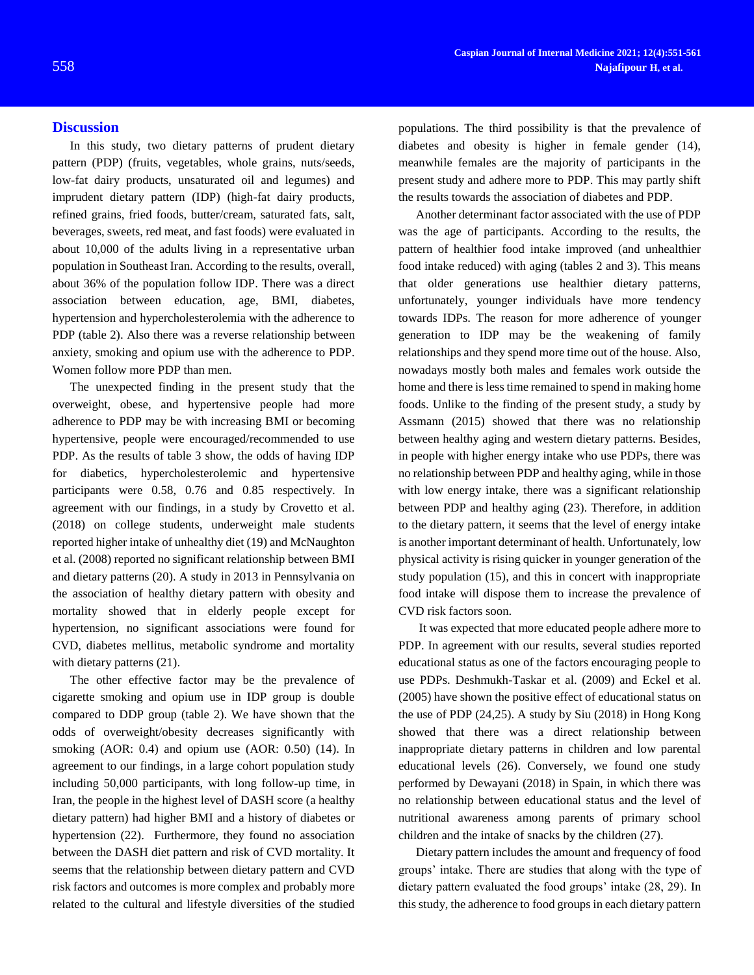## **Discussion**

In this study, two dietary patterns of prudent dietary pattern (PDP) (fruits, vegetables, whole grains, nuts/seeds, low-fat dairy products, unsaturated oil and legumes) and imprudent dietary pattern (IDP) (high-fat dairy products, refined grains, fried foods, butter/cream, saturated fats, salt, beverages, sweets, red meat, and fast foods) were evaluated in about 10,000 of the adults living in a representative urban population in Southeast Iran. According to the results, overall, about 36% of the population follow IDP. There was a direct association between education, age, BMI, diabetes, hypertension and hypercholesterolemia with the adherence to PDP (table 2). Also there was a reverse relationship between anxiety, smoking and opium use with the adherence to PDP. Women follow more PDP than men.

The unexpected finding in the present study that the overweight, obese, and hypertensive people had more adherence to PDP may be with increasing BMI or becoming hypertensive, people were encouraged/recommended to use PDP. As the results of table 3 show, the odds of having IDP for diabetics, hypercholesterolemic and hypertensive participants were 0.58, 0.76 and 0.85 respectively. In agreement with our findings, in a study by Crovetto et al. (2018) on college students, underweight male students reported higher intake of unhealthy diet (19) and McNaughton et al. (2008) reported no significant relationship between BMI and dietary patterns (20). A study in 2013 in Pennsylvania on the association of healthy dietary pattern with obesity and mortality showed that in elderly people except for hypertension, no significant associations were found for CVD, diabetes mellitus, metabolic syndrome and mortality with dietary patterns  $(21)$ .

The other effective factor may be the prevalence of cigarette smoking and opium use in IDP group is double compared to DDP group (table 2). We have shown that the odds of overweight/obesity decreases significantly with smoking (AOR: 0.4) and opium use (AOR: 0.50) (14). In agreement to our findings, in a large cohort population study including 50,000 participants, with long follow-up time, in Iran, the people in the highest level of DASH score (a healthy dietary pattern) had higher BMI and a history of diabetes or hypertension (22). Furthermore, they found no association between the DASH diet pattern and risk of CVD mortality. It seems that the relationship between dietary pattern and CVD risk factors and outcomes is more complex and probably more related to the cultural and lifestyle diversities of the studied

populations. The third possibility is that the prevalence of diabetes and obesity is higher in female gender (14), meanwhile females are the majority of participants in the present study and adhere more to PDP. This may partly shift the results towards the association of diabetes and PDP.

Another determinant factor associated with the use of PDP was the age of participants. According to the results, the pattern of healthier food intake improved (and unhealthier food intake reduced) with aging (tables 2 and 3). This means that older generations use healthier dietary patterns, unfortunately, younger individuals have more tendency towards IDPs. The reason for more adherence of younger generation to IDP may be the weakening of family relationships and they spend more time out of the house. Also, nowadays mostly both males and females work outside the home and there is less time remained to spend in making home foods. Unlike to the finding of the present study, a study by Assmann (2015) showed that there was no relationship between healthy aging and western dietary patterns. Besides, in people with higher energy intake who use PDPs, there was no relationship between PDP and healthy aging, while in those with low energy intake, there was a significant relationship between PDP and healthy aging (23). Therefore, in addition to the dietary pattern, it seems that the level of energy intake is another important determinant of health. Unfortunately, low physical activity is rising quicker in younger generation of the study population (15), and this in concert with inappropriate food intake will dispose them to increase the prevalence of CVD risk factors soon.

It was expected that more educated people adhere more to PDP. In agreement with our results, several studies reported educational status as one of the factors encouraging people to use PDPs. Deshmukh-Taskar et al. (2009) and Eckel et al. (2005) have shown the positive effect of educational status on the use of PDP (24,25). A study by Siu (2018) in Hong Kong showed that there was a direct relationship between inappropriate dietary patterns in children and low parental educational levels (26). Conversely, we found one study performed by Dewayani (2018) in Spain, in which there was no relationship between educational status and the level of nutritional awareness among parents of primary school children and the intake of snacks by the children (27).

Dietary pattern includes the amount and frequency of food groups' intake. There are studies that along with the type of dietary pattern evaluated the food groups' intake (28, 29). In this study, the adherence to food groups in each dietary pattern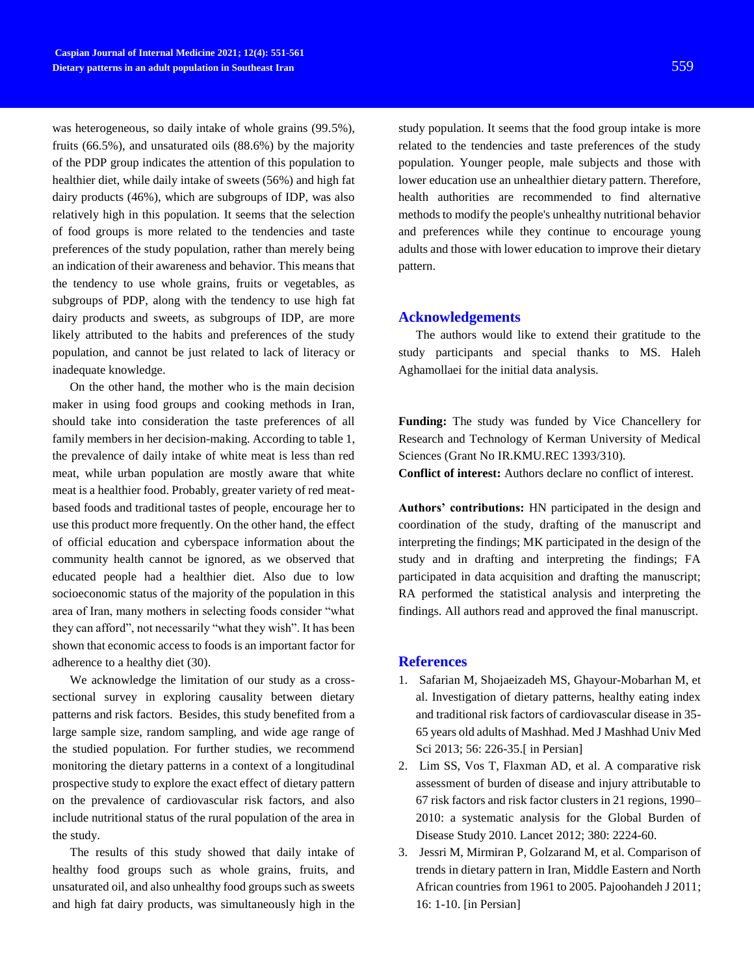was heterogeneous, so daily intake of whole grains (99.5%), fruits (66.5%), and unsaturated oils (88.6%) by the majority of the PDP group indicates the attention of this population to healthier diet, while daily intake of sweets (56%) and high fat dairy products (46%), which are subgroups of IDP, was also relatively high in this population. It seems that the selection of food groups is more related to the tendencies and taste preferences of the study population, rather than merely being an indication of their awareness and behavior. This means that the tendency to use whole grains, fruits or vegetables, as subgroups of PDP, along with the tendency to use high fat dairy products and sweets, as subgroups of IDP, are more likely attributed to the habits and preferences of the study population, and cannot be just related to lack of literacy or inadequate knowledge.

On the other hand, the mother who is the main decision maker in using food groups and cooking methods in Iran, should take into consideration the taste preferences of all family members in her decision-making. According to table 1, the prevalence of daily intake of white meat is less than red meat, while urban population are mostly aware that white meat is a healthier food. Probably, greater variety of red meatbased foods and traditional tastes of people, encourage her to use this product more frequently. On the other hand, the effect of official education and cyberspace information about the community health cannot be ignored, as we observed that educated people had a healthier diet. Also due to low socioeconomic status of the majority of the population in this area of Iran, many mothers in selecting foods consider "what they can afford", not necessarily "what they wish". It has been shown that economic access to foods is an important factor for adherence to a healthy diet (30).

We acknowledge the limitation of our study as a crosssectional survey in exploring causality between dietary patterns and risk factors. Besides, this study benefited from a large sample size, random sampling, and wide age range of the studied population. For further studies, we recommend monitoring the dietary patterns in a context of a longitudinal prospective study to explore the exact effect of dietary pattern on the prevalence of cardiovascular risk factors, and also include nutritional status of the rural population of the area in the study.

The results of this study showed that daily intake of healthy food groups such as whole grains, fruits, and unsaturated oil, and also unhealthy food groups such as sweets and high fat dairy products, was simultaneously high in the

study population. It seems that the food group intake is more related to the tendencies and taste preferences of the study population. Younger people, male subjects and those with lower education use an unhealthier dietary pattern. Therefore, health authorities are recommended to find alternative methods to modify the people's unhealthy nutritional behavior and preferences while they continue to encourage young adults and those with lower education to improve their dietary pattern.

## **Acknowledgements**

The authors would like to extend their gratitude to the study participants and special thanks to MS. Haleh Aghamollaei for the initial data analysis.

**Funding:** The study was funded by Vice Chancellery for Research and Technology of Kerman University of Medical Sciences (Grant No IR.KMU.REC 1393/310).

**Conflict of interest:** Authors declare no conflict of interest.

**Authors' contributions:** HN participated in the design and coordination of the study, drafting of the manuscript and interpreting the findings; MK participated in the design of the study and in drafting and interpreting the findings; FA participated in data acquisition and drafting the manuscript; RA performed the statistical analysis and interpreting the findings. All authors read and approved the final manuscript.

#### **References**

- 1. Safarian M, Shojaeizadeh MS, Ghayour-Mobarhan M, et al. Investigation of dietary patterns, healthy eating index and traditional risk factors of cardiovascular disease in 35- 65 years old adults of Mashhad. Med J Mashhad Univ Med Sci 2013; 56: 226-35.[ in Persian]
- 2. Lim SS, Vos T, Flaxman AD, et al. A comparative risk assessment of burden of disease and injury attributable to 67 risk factors and risk factor clusters in 21 regions, 1990– 2010: a systematic analysis for the Global Burden of Disease Study 2010. Lancet 2012; 380: 2224-60.
- 3. Jessri M, Mirmiran P, Golzarand M, et al. Comparison of trends in dietary pattern in Iran, Middle Eastern and North African countries from 1961 to 2005. Pajoohandeh J 2011; 16: 1-10. [in Persian]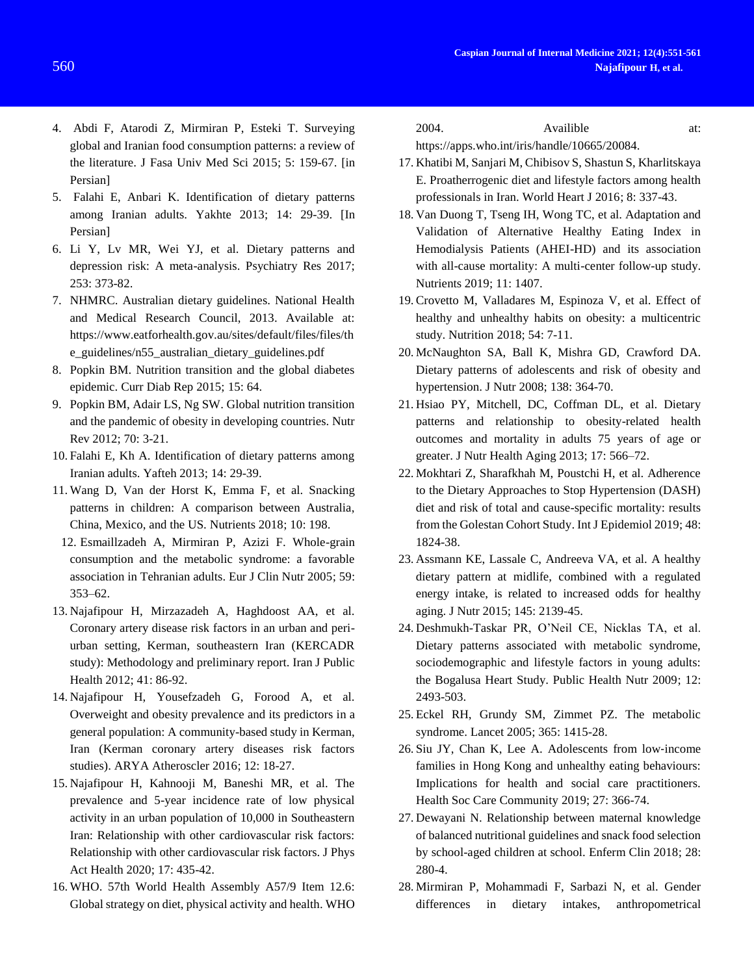- 4. Abdi F, Atarodi Z, Mirmiran P, Esteki T. Surveying global and Iranian food consumption patterns: a review of the literature. J Fasa Univ Med Sci 2015; 5: 159-67. [in Persian]
- 5. Falahi E, Anbari K. Identification of dietary patterns among Iranian adults. Yakhte 2013; 14: 29-39. [In Persian]
- 6. Li Y, Lv MR, Wei YJ, et al. Dietary patterns and depression risk: A meta-analysis. Psychiatry Res 2017; 253: 373-82.
- 7. NHMRC. Australian dietary guidelines. National Health and Medical Research Council, 2013. Available at: https://www.eatforhealth.gov.au/sites/default/files/files/th e\_guidelines/n55\_australian\_dietary\_guidelines.pdf
- 8. Popkin BM. Nutrition transition and the global diabetes epidemic. Curr Diab Rep 2015; 15: 64.
- 9. Popkin BM, Adair LS, Ng SW. Global nutrition transition and the pandemic of obesity in developing countries. Nutr Rev 2012; 70: 3-21.
- 10. Falahi E, Kh A. Identification of dietary patterns among Iranian adults. Yafteh 2013; 14: 29-39.
- 11. Wang D, Van der Horst K, Emma F, et al. Snacking patterns in children: A comparison between Australia, China, Mexico, and the US. Nutrients 2018; 10: 198.
- 12. Esmaillzadeh A, Mirmiran P, Azizi F. Whole-grain consumption and the metabolic syndrome: a favorable association in Tehranian adults. Eur J Clin Nutr 2005; 59: 353–62.
- 13. Najafipour H, Mirzazadeh A, Haghdoost AA, et al. Coronary artery disease risk factors in an urban and periurban setting, Kerman, southeastern Iran (KERCADR study): Methodology and preliminary report. Iran J Public Health 2012; 41: 86-92.
- 14. Najafipour H, Yousefzadeh G, Forood A, et al. Overweight and obesity prevalence and its predictors in a general population: A community-based study in Kerman, Iran (Kerman coronary artery diseases risk factors studies). ARYA Atheroscler 2016; 12: 18-27.
- 15. Najafipour H, Kahnooji M, Baneshi MR, et al. The prevalence and 5-year incidence rate of low physical activity in an urban population of 10,000 in Southeastern Iran: Relationship with other cardiovascular risk factors: Relationship with other cardiovascular risk factors. J Phys Act Health 2020; 17: 435-42.
- 16. WHO. 57th World Health Assembly A57/9 Item 12.6: Global strategy on diet, physical activity and health. WHO

2004. Availible at:

https://apps.who.int/iris/handle/10665/20084.

- 17. Khatibi M, Sanjari M, Chibisov S, Shastun S, Kharlitskaya E. Proatherrogenic diet and lifestyle factors among health professionals in Iran. World Heart J 2016; 8: 337-43.
- 18. Van Duong T, Tseng IH, Wong TC, et al. Adaptation and Validation of Alternative Healthy Eating Index in Hemodialysis Patients (AHEI-HD) and its association with all-cause mortality: A multi-center follow-up study. Nutrients 2019; 11: 1407.
- 19. Crovetto M, Valladares M, Espinoza V, et al. Effect of healthy and unhealthy habits on obesity: a multicentric study. Nutrition 2018; 54: 7-11.
- 20. McNaughton SA, Ball K, Mishra GD, Crawford DA. Dietary patterns of adolescents and risk of obesity and hypertension. J Nutr 2008; 138: 364-70.
- 21. Hsiao PY, Mitchell, DC, Coffman DL, et al. Dietary patterns and relationship to obesity-related health outcomes and mortality in adults 75 years of age or greater. J Nutr Health Aging 2013; 17: 566–72.
- 22. Mokhtari Z, Sharafkhah M, Poustchi H, et al. Adherence to the Dietary Approaches to Stop Hypertension (DASH) diet and risk of total and cause-specific mortality: results from the Golestan Cohort Study. Int J Epidemiol 2019; 48: 1824-38.
- 23. Assmann KE, Lassale C, Andreeva VA, et al. A healthy dietary pattern at midlife, combined with a regulated energy intake, is related to increased odds for healthy aging. J Nutr 2015; 145: 2139-45.
- 24. Deshmukh-Taskar PR, O'Neil CE, Nicklas TA, et al. Dietary patterns associated with metabolic syndrome, sociodemographic and lifestyle factors in young adults: the Bogalusa Heart Study. Public Health Nutr 2009; 12: 2493-503.
- 25. Eckel RH, Grundy SM, Zimmet PZ. The metabolic syndrome. Lancet 2005; 365: 1415-28.
- 26. Siu JY, Chan K, Lee A. Adolescents from low‐income families in Hong Kong and unhealthy eating behaviours: Implications for health and social care practitioners. Health Soc Care Community 2019; 27: 366-74.
- 27. Dewayani N. Relationship between maternal knowledge of balanced nutritional guidelines and snack food selection by school-aged children at school. Enferm Clin 2018; 28: 280-4.
- 28. Mirmiran P, Mohammadi F, Sarbazi N, et al. Gender differences in dietary intakes, anthropometrical